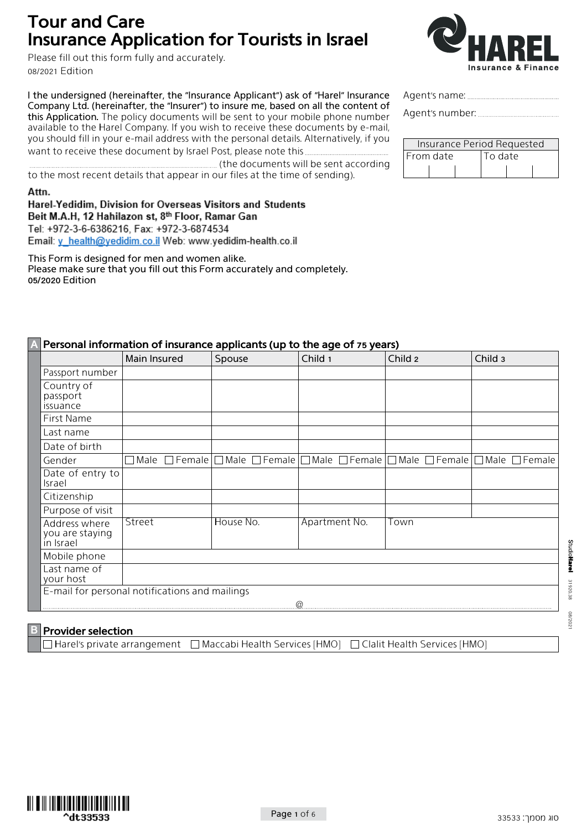# **Tour and Care Insurance Application for Tourists in Israel**

Please fill out this form fully and accurately. 08/2021 Edition

I the undersigned (hereinafter, the "Insurance Applicant") ask of "Harel" Insurance Company Ltd. (hereinafter, the "Insurer") to insure me, based on all the content of this Application. The policy documents will be sent to your mobile phone number available to the Harel Company. If you wish to receive these documents by e-mail, you should fill in your e-mail address with the personal details. Alternatively, if you want to receive these document by Israel Post, please note this...

 according sent be will documents the ( to the most recent details that appear in our files at the time of sending).

Attn. Harel-Yedidim, Division for Overseas Visitors and Students Beit M.A.H, 12 Hahilazon st, 8th Floor, Ramar Gan Tel: +972-3-6-6386216, Fax: +972-3-6874534 Email: *y* health@yedidim.co.il Web: www.yedidim-health.co.il

This Form is designed for men and women alike. Please make sure that you fill out this Form accurately and completely. 05/2020 Edition

### **A** Personal information of insurance applicants (up to the age of 75 years)

|                                               | Main Insured                                   | Spouse    | Child 1       | Child <sub>2</sub>                                                                                             | Child 3 |  |  |  |  |
|-----------------------------------------------|------------------------------------------------|-----------|---------------|----------------------------------------------------------------------------------------------------------------|---------|--|--|--|--|
| Passport number                               |                                                |           |               |                                                                                                                |         |  |  |  |  |
| Country of<br>passport<br>issuance            |                                                |           |               |                                                                                                                |         |  |  |  |  |
| First Name                                    |                                                |           |               |                                                                                                                |         |  |  |  |  |
| Last name                                     |                                                |           |               |                                                                                                                |         |  |  |  |  |
| Date of birth                                 |                                                |           |               |                                                                                                                |         |  |  |  |  |
| Gender                                        |                                                |           |               | Male $\Box$ Female $\Box$ Male $\Box$ Female $\Box$ Male $\Box$ Female $\Box$ Female $\Box$ Male $\Box$ Female |         |  |  |  |  |
| Date of entry to<br>Israel                    |                                                |           |               |                                                                                                                |         |  |  |  |  |
| Citizenship                                   |                                                |           |               |                                                                                                                |         |  |  |  |  |
| Purpose of visit                              |                                                |           |               |                                                                                                                |         |  |  |  |  |
| Address where<br>you are staying<br>in Israel | Street                                         | House No. | Apartment No. | Town                                                                                                           |         |  |  |  |  |
| Mobile phone                                  |                                                |           |               |                                                                                                                |         |  |  |  |  |
| Last name of<br>your host                     |                                                |           |               |                                                                                                                |         |  |  |  |  |
|                                               | E-mail for personal notifications and mailings |           |               |                                                                                                                |         |  |  |  |  |
|                                               |                                                |           |               |                                                                                                                |         |  |  |  |  |

#### **Provider selection**

 $\Box$  Harel's private arrangement  $\Box$  Maccabi Health Services [HMO]  $\Box$  Clalit Health Services [HMO]



:number s'Agent

| Insurance Period Requested |         |  |  |  |  |  |  |
|----------------------------|---------|--|--|--|--|--|--|
| l From date                | To date |  |  |  |  |  |  |
|                            |         |  |  |  |  |  |  |



08/2021 31920.38

702/80

31920.38

**StudioHarel**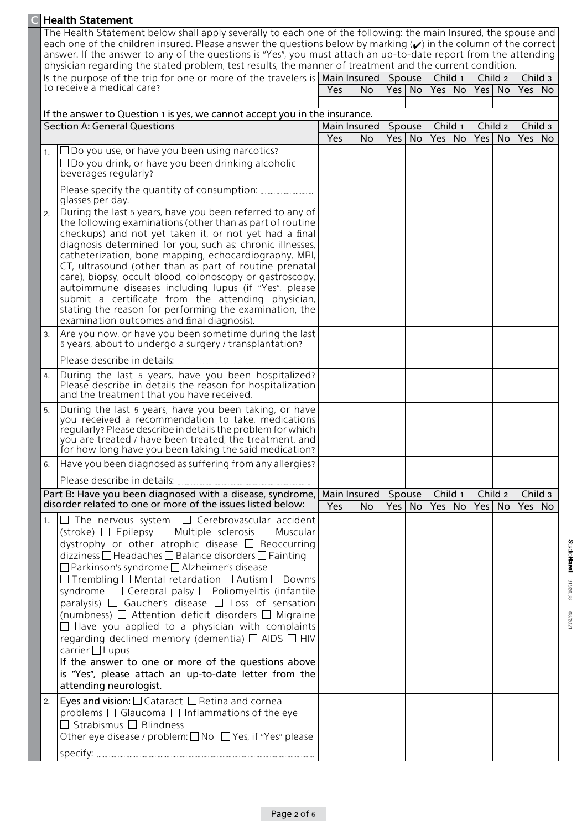|                                                                                                                                                                                                                                                                                                                                                                                                                                                                        | <b>Health Statement</b>                                                                                                                                                                                                                                                                                                                                                                                                                                                                                                                                                                                                                                                                                                                                                                                                                                                                   |     |                           |        |               |                   |  |                  |           |                |           |
|------------------------------------------------------------------------------------------------------------------------------------------------------------------------------------------------------------------------------------------------------------------------------------------------------------------------------------------------------------------------------------------------------------------------------------------------------------------------|-------------------------------------------------------------------------------------------------------------------------------------------------------------------------------------------------------------------------------------------------------------------------------------------------------------------------------------------------------------------------------------------------------------------------------------------------------------------------------------------------------------------------------------------------------------------------------------------------------------------------------------------------------------------------------------------------------------------------------------------------------------------------------------------------------------------------------------------------------------------------------------------|-----|---------------------------|--------|---------------|-------------------|--|------------------|-----------|----------------|-----------|
| The Health Statement below shall apply severally to each one of the following: the main Insured, the spouse and<br>each one of the children insured. Please answer the questions below by marking $\omega$ in the column of the correct<br>answer. If the answer to any of the questions is "Yes", you must attach an up-to-date report from the attending<br>physician regarding the stated problem, test results, the manner of treatment and the current condition. |                                                                                                                                                                                                                                                                                                                                                                                                                                                                                                                                                                                                                                                                                                                                                                                                                                                                                           |     |                           |        |               |                   |  |                  |           |                |           |
|                                                                                                                                                                                                                                                                                                                                                                                                                                                                        | Is the purpose of the trip for one or more of the travelers is   Main Insured   Spouse                                                                                                                                                                                                                                                                                                                                                                                                                                                                                                                                                                                                                                                                                                                                                                                                    |     |                           |        |               | Child 1           |  | Child 2          |           | Child 3        |           |
|                                                                                                                                                                                                                                                                                                                                                                                                                                                                        | to receive a medical care?                                                                                                                                                                                                                                                                                                                                                                                                                                                                                                                                                                                                                                                                                                                                                                                                                                                                | Yes | No                        |        | Yes No        | $Yes$ No          |  |                  | Yes No    | $Yes \mid No$  |           |
|                                                                                                                                                                                                                                                                                                                                                                                                                                                                        |                                                                                                                                                                                                                                                                                                                                                                                                                                                                                                                                                                                                                                                                                                                                                                                                                                                                                           |     |                           |        |               |                   |  |                  |           |                |           |
|                                                                                                                                                                                                                                                                                                                                                                                                                                                                        | If the answer to Question 1 is yes, we cannot accept you in the insurance.                                                                                                                                                                                                                                                                                                                                                                                                                                                                                                                                                                                                                                                                                                                                                                                                                |     |                           |        |               |                   |  |                  |           |                |           |
|                                                                                                                                                                                                                                                                                                                                                                                                                                                                        | <b>Section A: General Questions</b>                                                                                                                                                                                                                                                                                                                                                                                                                                                                                                                                                                                                                                                                                                                                                                                                                                                       | Yes | Main Insured<br><b>No</b> | Spouse | Yes   No $ $  | Child 1<br>Yes No |  | Yes No           | Child 2   | Child 3<br>Yes | No        |
|                                                                                                                                                                                                                                                                                                                                                                                                                                                                        | $\Box$ Do you use, or have you been using narcotics?<br>1.                                                                                                                                                                                                                                                                                                                                                                                                                                                                                                                                                                                                                                                                                                                                                                                                                                |     |                           |        |               |                   |  |                  |           |                |           |
|                                                                                                                                                                                                                                                                                                                                                                                                                                                                        | $\Box$ Do you drink, or have you been drinking alcoholic<br>beverages regularly?                                                                                                                                                                                                                                                                                                                                                                                                                                                                                                                                                                                                                                                                                                                                                                                                          |     |                           |        |               |                   |  |                  |           |                |           |
|                                                                                                                                                                                                                                                                                                                                                                                                                                                                        | glasses per day.                                                                                                                                                                                                                                                                                                                                                                                                                                                                                                                                                                                                                                                                                                                                                                                                                                                                          |     |                           |        |               |                   |  |                  |           |                |           |
|                                                                                                                                                                                                                                                                                                                                                                                                                                                                        | During the last 5 years, have you been referred to any of<br>2.<br>the following examinations (other than as part of routine<br>checkups) and not yet taken it, or not yet had a final<br>diagnosis determined for you, such as: chronic illnesses,<br>catheterization, bone mapping, echocardiography, MRI,<br>CT, ultrasound (other than as part of routine prenatal<br>care), biopsy, occult blood, colonoscopy or gastroscopy,<br>autoimmune diseases including lupus (if "Yes", please<br>submit a certificate from the attending physician,<br>stating the reason for performing the examination, the<br>examination outcomes and final diagnosis).                                                                                                                                                                                                                                 |     |                           |        |               |                   |  |                  |           |                |           |
|                                                                                                                                                                                                                                                                                                                                                                                                                                                                        | Are you now, or have you been sometime during the last<br>3.<br>5 years, about to undergo a surgery / transplantation?                                                                                                                                                                                                                                                                                                                                                                                                                                                                                                                                                                                                                                                                                                                                                                    |     |                           |        |               |                   |  |                  |           |                |           |
|                                                                                                                                                                                                                                                                                                                                                                                                                                                                        | Please describe in details:                                                                                                                                                                                                                                                                                                                                                                                                                                                                                                                                                                                                                                                                                                                                                                                                                                                               |     |                           |        |               |                   |  |                  |           |                |           |
|                                                                                                                                                                                                                                                                                                                                                                                                                                                                        | During the last 5 years, have you been hospitalized?<br>4.<br>Please describe in details the reason for hospitalization<br>and the treatment that you have received.                                                                                                                                                                                                                                                                                                                                                                                                                                                                                                                                                                                                                                                                                                                      |     |                           |        |               |                   |  |                  |           |                |           |
|                                                                                                                                                                                                                                                                                                                                                                                                                                                                        | During the last 5 years, have you been taking, or have<br>5.<br>you received a recommendation to take, medications<br>regularly? Please describe in details the problem for which<br>you are treated / have been treated, the treatment, and<br>for how long have you been taking the said medication?                                                                                                                                                                                                                                                                                                                                                                                                                                                                                                                                                                                    |     |                           |        |               |                   |  |                  |           |                |           |
|                                                                                                                                                                                                                                                                                                                                                                                                                                                                        | Have you been diagnosed as suffering from any allergies?<br>6.                                                                                                                                                                                                                                                                                                                                                                                                                                                                                                                                                                                                                                                                                                                                                                                                                            |     |                           |        |               |                   |  |                  |           |                |           |
|                                                                                                                                                                                                                                                                                                                                                                                                                                                                        |                                                                                                                                                                                                                                                                                                                                                                                                                                                                                                                                                                                                                                                                                                                                                                                                                                                                                           |     |                           |        |               |                   |  |                  |           |                |           |
|                                                                                                                                                                                                                                                                                                                                                                                                                                                                        | Part B: Have you been diagnosed with a disease, syndrome,                                                                                                                                                                                                                                                                                                                                                                                                                                                                                                                                                                                                                                                                                                                                                                                                                                 |     | Main Insured   Spouse     |        |               | Child 1           |  |                  | Child 2   | Child 3        |           |
|                                                                                                                                                                                                                                                                                                                                                                                                                                                                        | disorder related to one or more of the issues listed below:                                                                                                                                                                                                                                                                                                                                                                                                                                                                                                                                                                                                                                                                                                                                                                                                                               | Yes | <b>No</b>                 |        | $Yes \mid No$ | $Yes \mid No$     |  | Yes <sup> </sup> | <b>No</b> | Yes            | <b>No</b> |
|                                                                                                                                                                                                                                                                                                                                                                                                                                                                        | $\Box$ The nervous system $\Box$ Cerebrovascular accident<br>1.<br>(stroke) □ Epilepsy □ Multiple sclerosis □ Muscular<br>dystrophy or other atrophic disease $\Box$ Reoccurring<br>dizziness $\Box$ Headaches $\Box$ Balance disorders $\Box$ Fainting<br>$\Box$ Parkinson's syndrome $\Box$ Alzheimer's disease<br>$\Box$ Trembling $\Box$ Mental retardation $\Box$ Autism $\Box$ Down's<br>syndrome $\Box$ Cerebral palsy $\Box$ Poliomyelitis (infantile<br>paralysis) $\Box$ Gaucher's disease $\Box$ Loss of sensation<br>(numbness) $\Box$ Attention deficit disorders $\Box$ Migraine<br>$\Box$ Have you applied to a physician with complaints<br>regarding declined memory (dementia) $\Box$ AIDS $\Box$ HIV<br>carrier $\Box$ Lupus<br>If the answer to one or more of the questions above<br>is "Yes", please attach an up-to-date letter from the<br>attending neurologist. |     |                           |        |               |                   |  |                  |           |                |           |
|                                                                                                                                                                                                                                                                                                                                                                                                                                                                        | Eyes and vision: $\Box$ Cataract $\Box$ Retina and cornea<br>2.<br>problems $\Box$ Glaucoma $\Box$ Inflammations of the eye<br>$\Box$ Strabismus $\Box$ Blindness<br>Other eye disease / problem: □ No □ Yes, if "Yes" please                                                                                                                                                                                                                                                                                                                                                                                                                                                                                                                                                                                                                                                             |     |                           |        |               |                   |  |                  |           |                |           |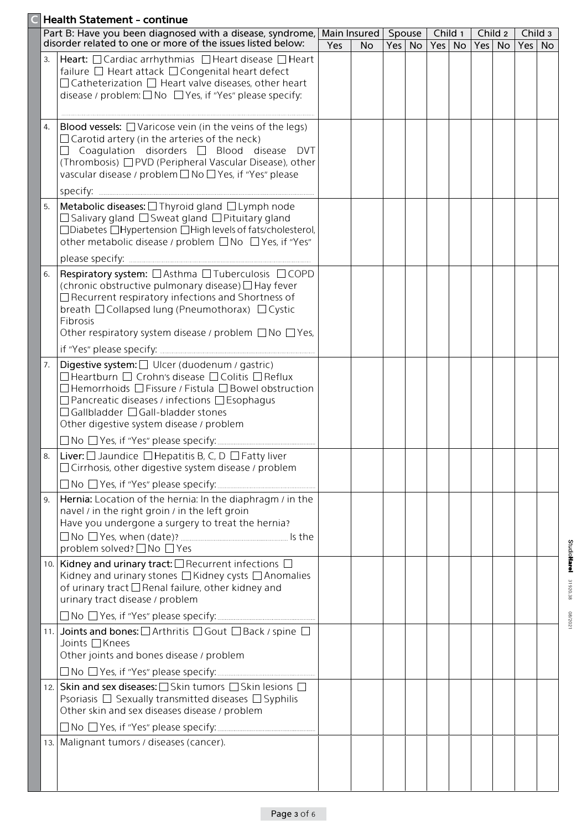|    | Part B: Have you been diagnosed with a disease, syndrome, disorder related to one or more of the issues listed below:                                                                                                                                                                                                     |     | Main Insured | Spouse        | Child 1 |        | Child 2 | Child 3 |    |
|----|---------------------------------------------------------------------------------------------------------------------------------------------------------------------------------------------------------------------------------------------------------------------------------------------------------------------------|-----|--------------|---------------|---------|--------|---------|---------|----|
|    |                                                                                                                                                                                                                                                                                                                           | Yes | <b>No</b>    | $Yes \mid No$ |         | Yes No | Yes No  | Yes     | No |
| 3. | Heart: $\Box$ Cardiac arrhythmias $\Box$ Heart disease $\Box$ Heart<br>failure □ Heart attack □ Congenital heart defect<br>$\Box$ Catheterization $\Box$ Heart valve diseases, other heart<br>disease / problem: $\Box$ No $\Box$ Yes, if "Yes" please specify:                                                           |     |              |               |         |        |         |         |    |
| 4. | Blood vessels: $\Box$ Varicose vein (in the veins of the legs)<br>$\Box$ Carotid artery (in the arteries of the neck)<br>$\Box$ Coagulation disorders $\Box$ Blood disease DVT<br>(Thrombosis) □ PVD (Peripheral Vascular Disease), other<br>vascular disease / problem □ No □ Yes, if "Yes" please                       |     |              |               |         |        |         |         |    |
| 5. | Metabolic diseases: 1 Thyroid gland 1 Lymph node<br>$\Box$ Salivary gland $\Box$ Sweat gland $\Box$ Pituitary gland<br>□Diabetes □Hypertension □High levels of fats/cholesterol,<br>other metabolic disease / problem □ No □ Yes, if "Yes"                                                                                |     |              |               |         |        |         |         |    |
| 6. | Respiratory system: □ Asthma □ Tuberculosis □ COPD<br>(chronic obstructive pulmonary disease) □ Hay fever<br>$\Box$ Recurrent respiratory infections and Shortness of<br>breath □ Collapsed lung (Pneumothorax) □ Cystic<br>Fibrosis<br>Other respiratory system disease / problem $\Box$ No $\Box$ Yes,                  |     |              |               |         |        |         |         |    |
|    |                                                                                                                                                                                                                                                                                                                           |     |              |               |         |        |         |         |    |
| 7. | Digestive system: □ Ulcer (duodenum / gastric)<br>□ Heartburn □ Crohn's disease □ Colitis □ Reflux<br>$\Box$ Hemorrhoids $\Box$ Fissure / Fistula $\Box$ Bowel obstruction<br>$\Box$ Pancreatic diseases / infections $\Box$ Esophagus<br>□ Gallbladder □ Gall-bladder stones<br>Other digestive system disease / problem |     |              |               |         |        |         |         |    |
|    |                                                                                                                                                                                                                                                                                                                           |     |              |               |         |        |         |         |    |
|    | Liver: □ Jaundice □ Hepatitis B, C, D □ Fatty liver<br>$\Box$ Cirrhosis, other digestive system disease / problem                                                                                                                                                                                                         |     |              |               |         |        |         |         |    |
| 9. | Hernia: Location of the hernia: In the diaphragm / in the<br>navel / in the right groin / in the left groin<br>Have you undergone a surgery to treat the hernia?<br>problem solved? $\Box$ No $\Box$ Yes                                                                                                                  |     |              |               |         |        |         |         |    |
|    | 10. Kidney and urinary tract: O Recurrent infections O<br>Kidney and urinary stones □ Kidney cysts □ Anomalies<br>of urinary tract □ Renal failure, other kidney and<br>urinary tract disease / problem                                                                                                                   |     |              |               |         |        |         |         |    |
|    |                                                                                                                                                                                                                                                                                                                           |     |              |               |         |        |         |         |    |
|    | 11. Joints and bones: □ Arthritis □ Gout □ Back / spine □<br>Joints □ Knees<br>Other joints and bones disease / problem                                                                                                                                                                                                   |     |              |               |         |        |         |         |    |
|    |                                                                                                                                                                                                                                                                                                                           |     |              |               |         |        |         |         |    |
|    | 12. Skin and sex diseases: $\square$ Skin tumors $\square$ Skin lesions $\square$<br>Psoriasis $\Box$ Sexually transmitted diseases $\Box$ Syphilis<br>Other skin and sex diseases disease / problem                                                                                                                      |     |              |               |         |        |         |         |    |
|    |                                                                                                                                                                                                                                                                                                                           |     |              |               |         |        |         |         |    |
|    | 13. Malignant tumors / diseases (cancer).                                                                                                                                                                                                                                                                                 |     |              |               |         |        |         |         |    |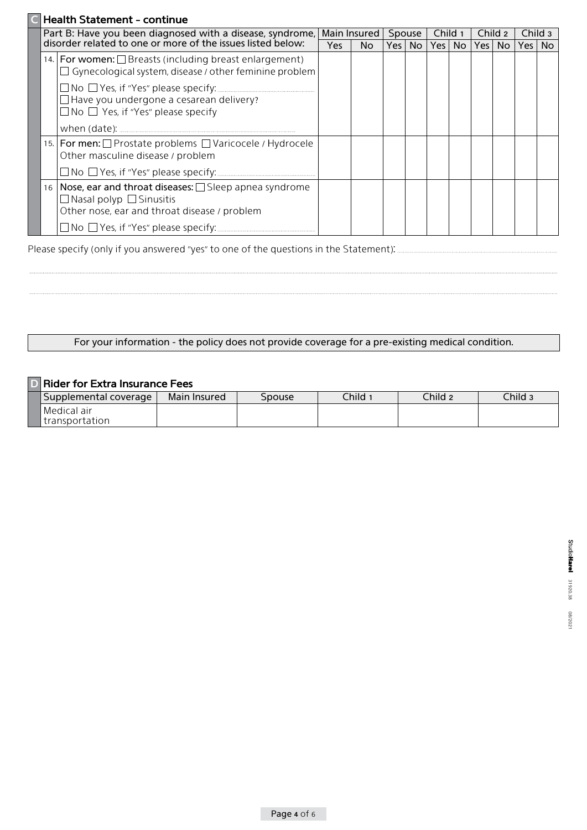## **C** Health Statement - continue

|                                                                                                                                                                                                                             | Part B: Have you been diagnosed with a disease, syndrome, $\vert$ disorder related to one or more of the issues listed below: |                                                                                                                                               | Main Insured |     | Spouse |     | Child 1 |  | Child 2 |  | Child 3 |     |
|-----------------------------------------------------------------------------------------------------------------------------------------------------------------------------------------------------------------------------|-------------------------------------------------------------------------------------------------------------------------------|-----------------------------------------------------------------------------------------------------------------------------------------------|--------------|-----|--------|-----|---------|--|---------|--|---------|-----|
|                                                                                                                                                                                                                             |                                                                                                                               |                                                                                                                                               | Yes          | No. | Yes l  | No. | Yes No  |  | Yes No  |  | Yes     | No. |
| 14.   For women: $\Box$ Breasts (including breast enlargement)<br>Gynecological system, disease / other feminine problem<br>$\Box$ Have you undergone a cesarean delivery?<br>$\Box$ No $\Box$ Yes, if "Yes" please specify |                                                                                                                               |                                                                                                                                               |              |     |        |     |         |  |         |  |         |     |
|                                                                                                                                                                                                                             |                                                                                                                               |                                                                                                                                               |              |     |        |     |         |  |         |  |         |     |
|                                                                                                                                                                                                                             |                                                                                                                               | when (date):                                                                                                                                  |              |     |        |     |         |  |         |  |         |     |
|                                                                                                                                                                                                                             |                                                                                                                               | 15.   For men: □ Prostate problems □ Varicocele / Hydrocele<br>Other masculine disease / problem                                              |              |     |        |     |         |  |         |  |         |     |
|                                                                                                                                                                                                                             |                                                                                                                               |                                                                                                                                               |              |     |        |     |         |  |         |  |         |     |
|                                                                                                                                                                                                                             |                                                                                                                               | 16 Nose, ear and throat diseases: Sleep apnea syndrome<br>$\Box$ Nasal polyp $\Box$ Sinusitis<br>Other nose, ear and throat disease / problem |              |     |        |     |         |  |         |  |         |     |
|                                                                                                                                                                                                                             |                                                                                                                               |                                                                                                                                               |              |     |        |     |         |  |         |  |         |     |

:(Statement the in questions the of one to" yes "answered you if only (specify Please

### For your information - the policy does not provide coverage for a pre-existing medical condition.

### $\boxed{D}$  **Rider for Extra Insurance Fees**

| Supplemental coverage         | Main Insured | <b>Spouse</b> | <b>Child</b> | Child2 | $Child_3$ |
|-------------------------------|--------------|---------------|--------------|--------|-----------|
| Medical air<br>transportation |              |               |              |        |           |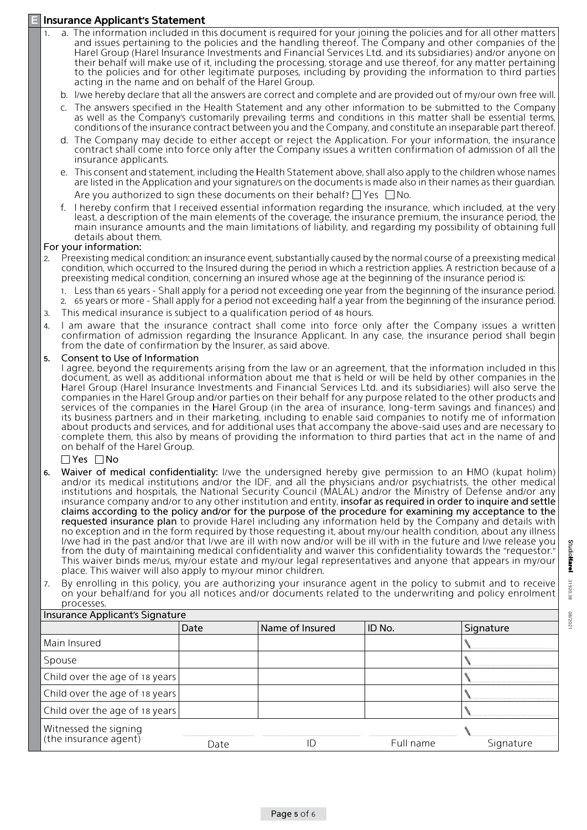#### **Insurance Applicant's Statement**

- a. The information included in this document is required for your joining the policies and for all other matters and issues pertaining to the policies and the handling thereof. The Company and other companies of the Harel Group (Harel Insurance Investments and Financial Services Ltd. and its subsidiaries) and/or anyone on their behalf will make use of it, including the processing, storage and use thereof, for any matter pertaining to the policies and for other legitimate purposes, including by providing the information to third parties acting in the name and on behalf of the Harel Group.
	- b. I/we hereby declare that all the answers are correct and complete and are provided out of my/our own free will.
	- c. The answers specified in the Health Statement and any other information to be submitted to the Company as well as the Company's customarily prevailing terms and conditions in this matter shall be essential terms, conditions of the insurance contract between you and the Company, and constitute an inseparable part thereof.
	- d. The Company may decide to either accept or reject the Application. For your information, the insurance contract shall come into force only after the Company issues a written confirmation of admission of all the insurance applicants.
	- e. This consent and statement, including the Health Statement above, shall also apply to the children whose names are listed in the Application and your signature/s on the documents is made also in their names as their quardian. Are you authorized to sign these documents on their behalf?  $\Box$  Yes  $\Box$  No.
	- f. I hereby confirm that I received essential information regarding the insurance, which included, at the very least, a description of the main elements of the coverage, the insurance premium, the insurance period, the main insurance amounts and the main limitations of liability, and regarding my possibility of obtaining full details about them.

#### For your information:

- Preexisting medical condition: an insurance event, substantially caused by the normal course of a preexisting medical condition, which occurred to the Insured during the period in which a restriction applies. A restriction because of a preexisting medical condition, concerning an insured whose age at the beginning of the insurance period is:
	- 1. Less than 65 years Shall apply for a period not exceeding one year from the beginning of the insurance period.
	- 2. 65 years or more Shall apply for a period not exceeding half a year from the beginning of the insurance period.
- 3. This medical insurance is subject to a qualification period of 48 hours
- 4. I am aware that the insurance contract shall come into force only after the Company issues a written confirmation of admission regarding the Insurance Applicant. In any case, the insurance period shall begin from the date of confirmation by the Insurer, as said above.

#### 5. Consent to Use of Information

I agree, beyond the requirements arising from the law or an agreement, that the information included in this document, as well as additional information about me that is held or will be held by other companies in the Harel Group (Harel Insurance Investments and Financial Services Ltd. and its subsidiaries) will also serve the companies in the Harel Group and/or parties on their behalf for any purpose related to the other products and services of the companies in the Harel Group (in the area of insurance, long-term savings and finances) and its business partners and in their marketing, including to enable said companies to notify me of information about products and services, and for additional uses that accompany the above-said uses and are necessary to complete them, this also by means of providing the information to third parties that act in the name of and on behalf of the Harel Group.

 $\Box$  Yes  $\Box$  No

- 6. Waiver of medical confidentiality: I/we the undersigned hereby give permission to an HMO (kupat holim) and/or its medical institutions and/or the IDF, and all the physicians and/or psychiatrists, the other medical institutions and hospitals, the National Security Council (MALAL) and/or the Ministry of Defense and/or any insurance company and/or to any other institution and entity, insofar as required in order to inquire and settle claims according to the policy and/or for the purpose of the procedure for examining my acceptance to the requested insurance plan to provide Harel including any information held by the Company and details with no exception and in the form required by those requesting it, about my/our health condition, about any illness I/we had in the past and/or that I/we are ill with now and/or will be ill with in the future and I/we release you from the duty of maintaining medical confidentiality and waiver this confidentiality towards the "requestor." This waiver binds me/us, my/our estate and my/our legal representatives and anyone that appears in my/our place. This waiver will also apply to my/our minor children.
- 7. By enrolling in this policy, you are authorizing your insurance agent in the policy to submit and to receive on your behalf/and for you all notices and/or documents related to the underwriting and policy enrolment .processes

| Insurance Applicant's Signature |      |                 |           |           |  |  |  |  |  |
|---------------------------------|------|-----------------|-----------|-----------|--|--|--|--|--|
|                                 | Date | Name of Insured | ID No.    | Signature |  |  |  |  |  |
| Main Insured                    |      |                 |           |           |  |  |  |  |  |
| Spouse                          |      |                 |           |           |  |  |  |  |  |
| Child over the age of 18 years  |      |                 |           |           |  |  |  |  |  |
| Child over the age of 18 years  |      |                 |           |           |  |  |  |  |  |
| Child over the age of 18 years  |      |                 |           |           |  |  |  |  |  |
| Witnessed the signing           |      |                 |           |           |  |  |  |  |  |
| (the insurance agent)           | Date |                 | Full name | Signature |  |  |  |  |  |